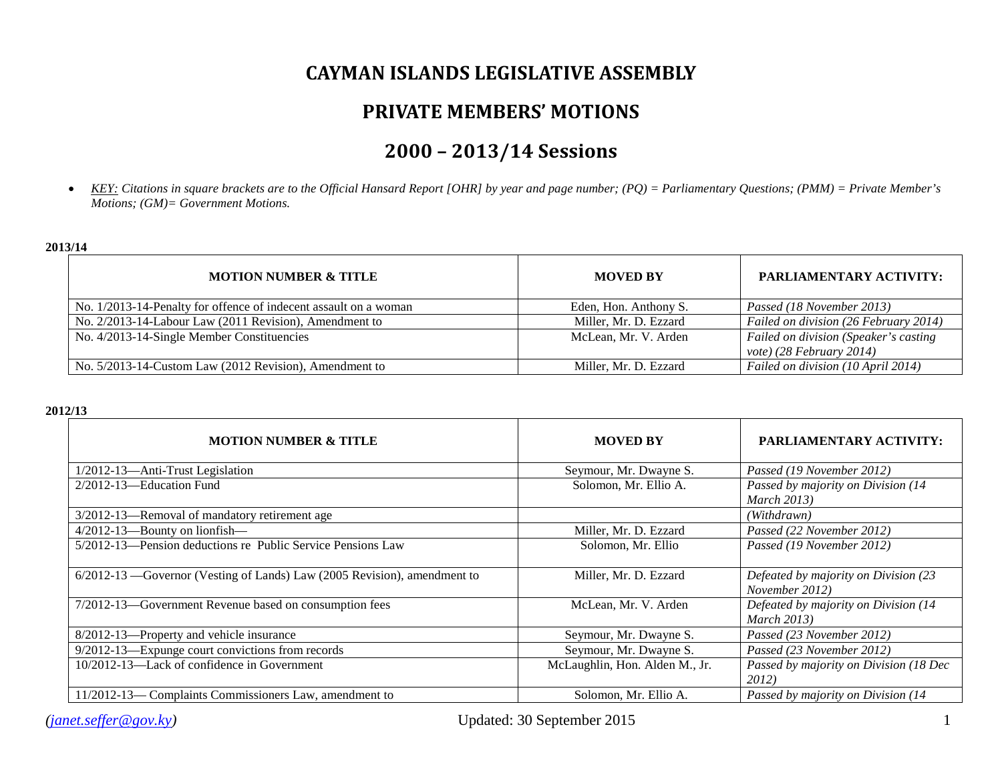## **CAYMAN ISLANDS LEGISLATIVE ASSEMBLY**

## **PRIVATE MEMBERS' MOTIONS**

# **2000 – 2013/14 Sessions**

• *KEY: Citations in square brackets are to the Official Hansard Report [OHR] by year and page number; (PQ) = Parliamentary Questions; (PMM) = Private Member's Motions; (GM)= Government Motions.*

#### **2013/14**

| <b>MOTION NUMBER &amp; TITLE</b>                                 | <b>MOVED BY</b>       | <b>PARLIAMENTARY ACTIVITY:</b>                                        |
|------------------------------------------------------------------|-----------------------|-----------------------------------------------------------------------|
| No. 1/2013-14-Penalty for offence of indecent assault on a woman | Eden, Hon. Anthony S. | Passed (18 November 2013)                                             |
| No. 2/2013-14-Labour Law (2011 Revision), Amendment to           | Miller, Mr. D. Ezzard | Failed on division (26 February 2014)                                 |
| No. 4/2013-14-Single Member Constituencies                       | McLean, Mr. V. Arden  | Failed on division (Speaker's casting<br>vote) $(28$ February $2014)$ |
| No. 5/2013-14-Custom Law (2012 Revision), Amendment to           | Miller, Mr. D. Ezzard | Failed on division (10 April 2014)                                    |

#### **2012/13**

| <b>MOTION NUMBER &amp; TITLE</b>                                           | <b>MOVED BY</b>                | PARLIAMENTARY ACTIVITY:                                     |
|----------------------------------------------------------------------------|--------------------------------|-------------------------------------------------------------|
| 1/2012-13-Anti-Trust Legislation                                           | Seymour, Mr. Dwayne S.         | Passed (19 November 2012)                                   |
| $2/2012 - 13$ —Education Fund                                              | Solomon, Mr. Ellio A.          | Passed by majority on Division (14                          |
|                                                                            |                                | <b>March 2013</b> )                                         |
| 3/2012-13-Removal of mandatory retirement age                              |                                | (Withdrawn)                                                 |
| 4/2012-13-Bounty on lionfish-                                              | Miller, Mr. D. Ezzard          | Passed (22 November 2012)                                   |
| 5/2012-13—Pension deductions re Public Service Pensions Law                | Solomon, Mr. Ellio             | Passed (19 November 2012)                                   |
| $6/2012-13$ —Governor (Vesting of Lands) Law (2005 Revision), amendment to | Miller, Mr. D. Ezzard          | Defeated by majority on Division (23<br>November 2012)      |
| 7/2012-13-Government Revenue based on consumption fees                     | McLean, Mr. V. Arden           | Defeated by majority on Division (14<br><b>March 2013</b> ) |
| 8/2012-13-Property and vehicle insurance                                   | Seymour, Mr. Dwayne S.         | Passed (23 November 2012)                                   |
| 9/2012-13—Expunge court convictions from records                           | Seymour, Mr. Dwayne S.         | Passed (23 November 2012)                                   |
| 10/2012-13—Lack of confidence in Government                                | McLaughlin, Hon. Alden M., Jr. | Passed by majority on Division (18 Dec<br>2012)             |
| 11/2012-13-Complaints Commissioners Law, amendment to                      | Solomon, Mr. Ellio A.          | Passed by majority on Division (14)                         |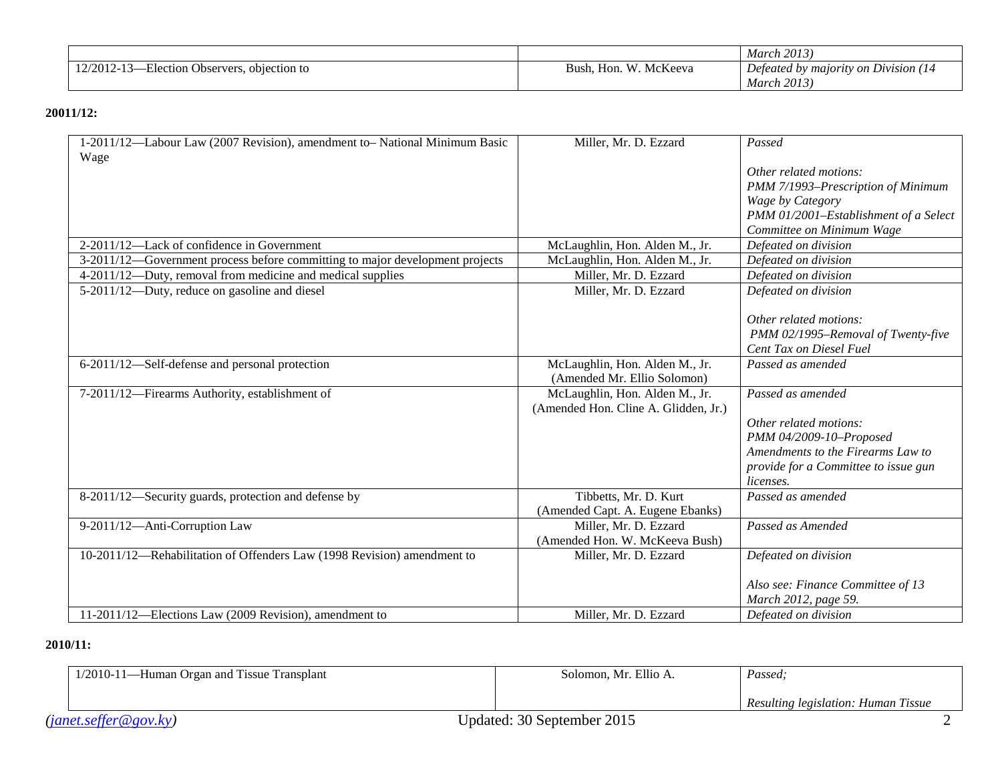|                                                                |                                     | <b>March 2013</b> )                |
|----------------------------------------------------------------|-------------------------------------|------------------------------------|
| T1<br>$12/2012 - 1$<br>objection to<br>Observers.<br>Election- | McKeeva<br>W<br>∽.<br>Bush,<br>Hon. | Defeated by majority on Division ( |
|                                                                |                                     | <b>March 2013</b>                  |

#### **20011/12:**

| 1-2011/12-Labour Law (2007 Revision), amendment to-National Minimum Basic    | Miller, Mr. D. Ezzard                | Passed                                |
|------------------------------------------------------------------------------|--------------------------------------|---------------------------------------|
| Wage                                                                         |                                      |                                       |
|                                                                              |                                      | Other related motions:                |
|                                                                              |                                      | PMM 7/1993-Prescription of Minimum    |
|                                                                              |                                      | Wage by Category                      |
|                                                                              |                                      | PMM 01/2001-Establishment of a Select |
|                                                                              |                                      | Committee on Minimum Wage             |
| 2-2011/12-Lack of confidence in Government                                   | McLaughlin, Hon. Alden M., Jr.       | Defeated on division                  |
| 3-2011/12—Government process before committing to major development projects | McLaughlin, Hon. Alden M., Jr.       | Defeated on division                  |
| 4-2011/12—Duty, removal from medicine and medical supplies                   | Miller, Mr. D. Ezzard                | Defeated on division                  |
| 5-2011/12-Duty, reduce on gasoline and diesel                                | Miller, Mr. D. Ezzard                | Defeated on division                  |
|                                                                              |                                      |                                       |
|                                                                              |                                      | Other related motions:                |
|                                                                              |                                      | PMM 02/1995-Removal of Twenty-five    |
|                                                                              |                                      | Cent Tax on Diesel Fuel               |
| 6-2011/12—Self-defense and personal protection                               | McLaughlin, Hon. Alden M., Jr.       | Passed as amended                     |
|                                                                              | (Amended Mr. Ellio Solomon)          |                                       |
| 7-2011/12-Firearms Authority, establishment of                               | McLaughlin, Hon. Alden M., Jr.       | Passed as amended                     |
|                                                                              | (Amended Hon. Cline A. Glidden, Jr.) |                                       |
|                                                                              |                                      | Other related motions:                |
|                                                                              |                                      | PMM 04/2009-10-Proposed               |
|                                                                              |                                      | Amendments to the Firearms Law to     |
|                                                                              |                                      | provide for a Committee to issue gun  |
|                                                                              |                                      | <i>licenses.</i>                      |
| 8-2011/12—Security guards, protection and defense by                         | Tibbetts, Mr. D. Kurt                | Passed as amended                     |
|                                                                              | (Amended Capt. A. Eugene Ebanks)     |                                       |
| 9-2011/12-Anti-Corruption Law                                                | Miller, Mr. D. Ezzard                | Passed as Amended                     |
|                                                                              | (Amended Hon. W. McKeeva Bush)       |                                       |
| 10-2011/12-Rehabilitation of Offenders Law (1998 Revision) amendment to      | Miller, Mr. D. Ezzard                | Defeated on division                  |
|                                                                              |                                      |                                       |
|                                                                              |                                      | Also see: Finance Committee of 13     |
|                                                                              |                                      | March 2012, page 59.                  |
| 11-2011/12—Elections Law (2009 Revision), amendment to                       | Miller, Mr. D. Ezzard                | Defeated on division                  |

### **2010/11:**

| 1/2010-11—Human Organ and Tissue Transplant | Solomon, Mr. Ellio A.      | Passed:                             |
|---------------------------------------------|----------------------------|-------------------------------------|
|                                             |                            | Resulting legislation: Human Tissue |
| (janet. seffer@gov.ky)                      | Updated: 30 September 2015 |                                     |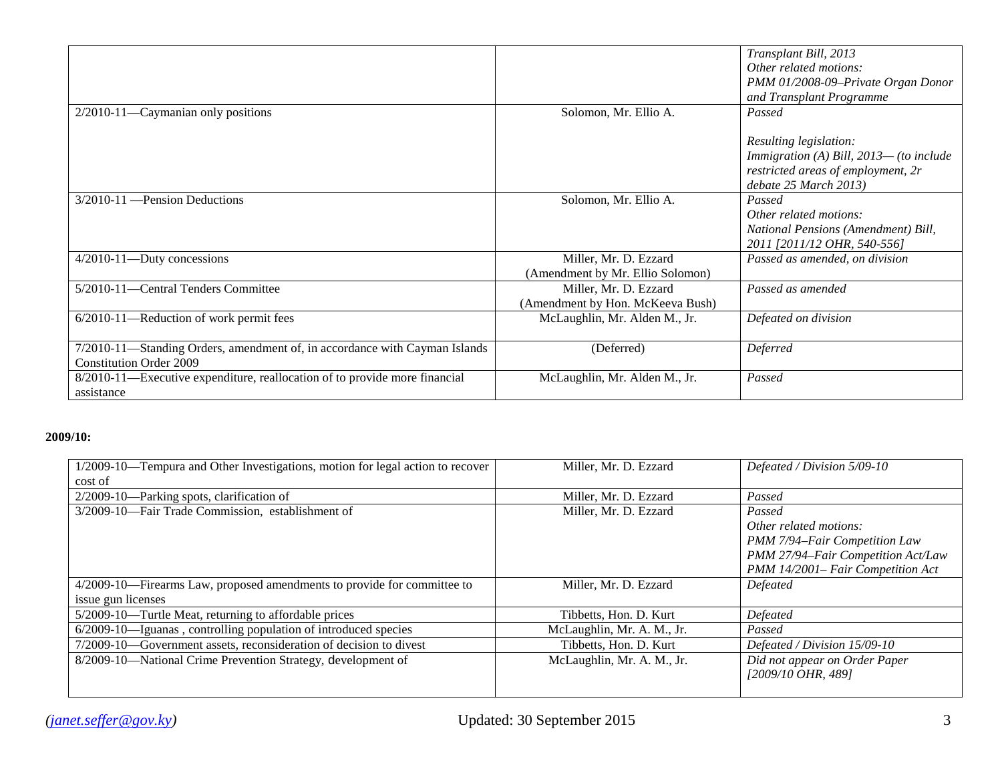|                                                                                                              |                                                           | Transplant Bill, 2013<br>Other related motions:<br>PMM 01/2008-09-Private Organ Donor<br>and Transplant Programme                             |
|--------------------------------------------------------------------------------------------------------------|-----------------------------------------------------------|-----------------------------------------------------------------------------------------------------------------------------------------------|
| $2/2010 - 11$ —Caymanian only positions                                                                      | Solomon, Mr. Ellio A.                                     | Passed<br>Resulting legislation:<br>Immigration (A) Bill, $2013$ — (to include<br>restricted areas of employment, 2r<br>debate 25 March 2013) |
| 3/2010-11 — Pension Deductions                                                                               | Solomon, Mr. Ellio A.                                     | Passed<br>Other related motions:<br>National Pensions (Amendment) Bill,<br>2011 [2011/12 OHR, 540-556]                                        |
| $4/2010 - 11$ —Duty concessions                                                                              | Miller, Mr. D. Ezzard<br>(Amendment by Mr. Ellio Solomon) | Passed as amended, on division                                                                                                                |
| 5/2010-11-Central Tenders Committee                                                                          | Miller, Mr. D. Ezzard<br>(Amendment by Hon. McKeeva Bush) | Passed as amended                                                                                                                             |
| 6/2010-11-Reduction of work permit fees                                                                      | McLaughlin, Mr. Alden M., Jr.                             | Defeated on division                                                                                                                          |
| 7/2010-11-Standing Orders, amendment of, in accordance with Cayman Islands<br><b>Constitution Order 2009</b> | (Deferred)                                                | Deferred                                                                                                                                      |
| 8/2010-11—Executive expenditure, reallocation of to provide more financial<br>assistance                     | McLaughlin, Mr. Alden M., Jr.                             | Passed                                                                                                                                        |

#### **2009/10:**

| 1/2009-10—Tempura and Other Investigations, motion for legal action to recover | Miller, Mr. D. Ezzard      | Defeated / Division 5/09-10                         |
|--------------------------------------------------------------------------------|----------------------------|-----------------------------------------------------|
| cost of                                                                        |                            |                                                     |
| $2/2009 - 10$ —Parking spots, clarification of                                 | Miller, Mr. D. Ezzard      | Passed                                              |
| 3/2009-10-Fair Trade Commission, establishment of                              | Miller, Mr. D. Ezzard      | Passed                                              |
|                                                                                |                            | Other related motions:                              |
|                                                                                |                            | PMM 7/94-Fair Competition Law                       |
|                                                                                |                            | PMM 27/94-Fair Competition Act/Law                  |
|                                                                                |                            | PMM 14/2001- Fair Competition Act                   |
| 4/2009-10—Firearms Law, proposed amendments to provide for committee to        | Miller, Mr. D. Ezzard      | Defeated                                            |
| issue gun licenses                                                             |                            |                                                     |
| 5/2009-10—Turtle Meat, returning to affordable prices                          | Tibbetts, Hon. D. Kurt     | Defeated                                            |
| 6/2009-10—Iguanas, controlling population of introduced species                | McLaughlin, Mr. A. M., Jr. | Passed                                              |
| 7/2009-10-Government assets, reconsideration of decision to divest             | Tibbetts, Hon. D. Kurt     | Defeated / Division 15/09-10                        |
| 8/2009-10-National Crime Prevention Strategy, development of                   | McLaughlin, Mr. A. M., Jr. | Did not appear on Order Paper<br>[2009/10 OHR, 489] |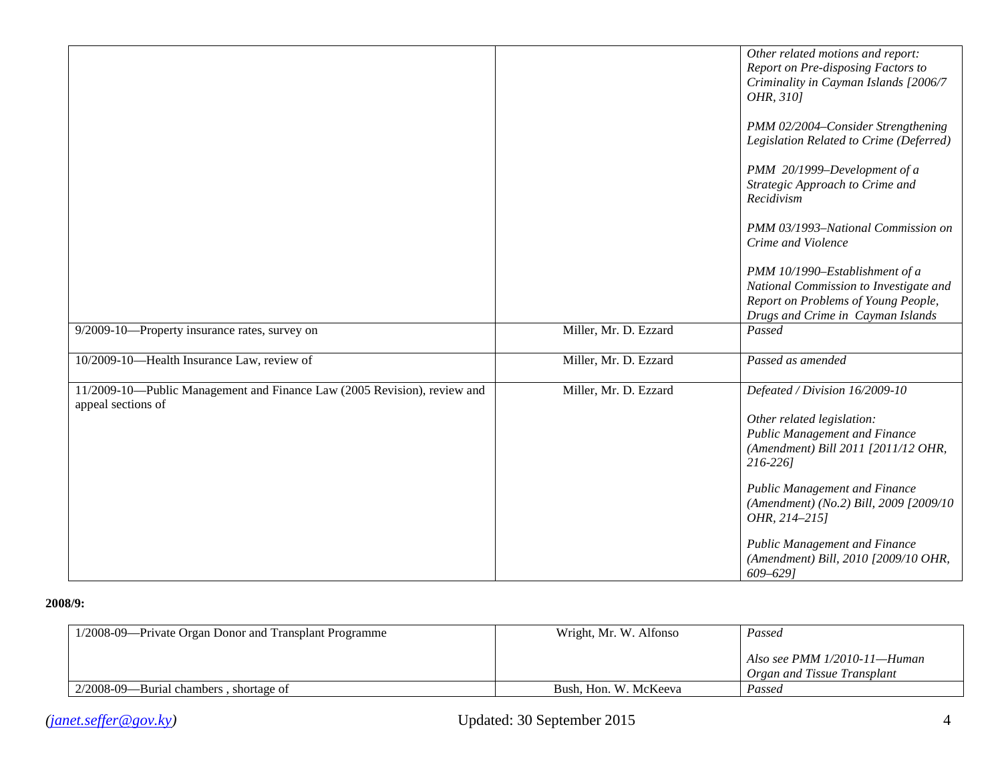|                                                                                                |                       | Other related motions and report:<br>Report on Pre-disposing Factors to<br>Criminality in Cayman Islands [2006/7<br>OHR, 310]<br>PMM 02/2004–Consider Strengthening<br>Legislation Related to Crime (Deferred)<br>PMM 20/1999-Development of a<br>Strategic Approach to Crime and<br>Recidivism<br>PMM 03/1993-National Commission on<br>Crime and Violence<br>PMM 10/1990-Establishment of a<br>National Commission to Investigate and<br>Report on Problems of Young People,<br>Drugs and Crime in Cayman Islands |
|------------------------------------------------------------------------------------------------|-----------------------|---------------------------------------------------------------------------------------------------------------------------------------------------------------------------------------------------------------------------------------------------------------------------------------------------------------------------------------------------------------------------------------------------------------------------------------------------------------------------------------------------------------------|
| 9/2009-10-Property insurance rates, survey on                                                  | Miller, Mr. D. Ezzard | Passed                                                                                                                                                                                                                                                                                                                                                                                                                                                                                                              |
| 10/2009-10-Health Insurance Law, review of                                                     | Miller, Mr. D. Ezzard | Passed as amended                                                                                                                                                                                                                                                                                                                                                                                                                                                                                                   |
| 11/2009-10-Public Management and Finance Law (2005 Revision), review and<br>appeal sections of | Miller, Mr. D. Ezzard | Defeated / Division 16/2009-10<br>Other related legislation:<br><b>Public Management and Finance</b><br>(Amendment) Bill 2011 [2011/12 OHR,<br>216-2261<br>Public Management and Finance<br>(Amendment) (No.2) Bill, 2009 [2009/10<br>OHR, 214-215]<br>Public Management and Finance<br>(Amendment) Bill, 2010 [2009/10 OHR,<br>$609 - 629$                                                                                                                                                                         |

#### **2008/9:**

| 1/2008-09—Private Organ Donor and Transplant Programme | Wright, Mr. W. Alfonso | Passed                                                         |
|--------------------------------------------------------|------------------------|----------------------------------------------------------------|
|                                                        |                        | Also see PMM $1/2010-11$ —Human<br>Organ and Tissue Transplant |
| $2/2008-09$ —Burial chambers, shortage of              | Bush, Hon. W. McKeeva  | Passed                                                         |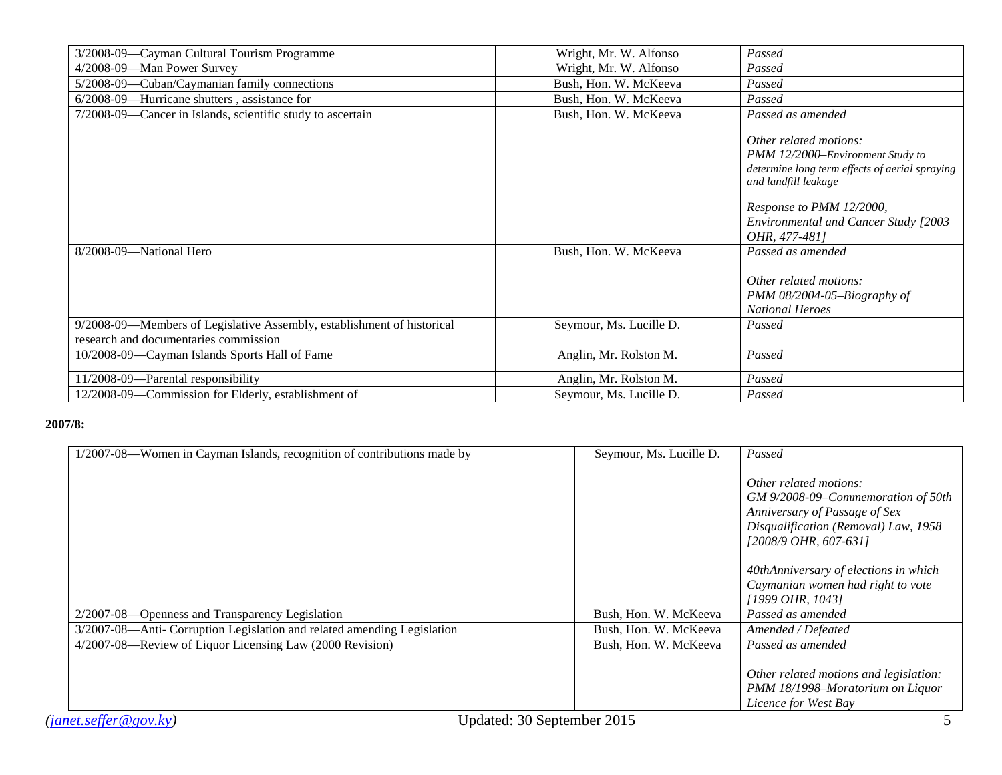| 3/2008-09—Cayman Cultural Tourism Programme                            | Wright, Mr. W. Alfonso  | Passed                                                                                                                                                                                                                           |
|------------------------------------------------------------------------|-------------------------|----------------------------------------------------------------------------------------------------------------------------------------------------------------------------------------------------------------------------------|
| 4/2008-09-Man Power Survey                                             | Wright, Mr. W. Alfonso  | Passed                                                                                                                                                                                                                           |
| 5/2008-09—Cuban/Caymanian family connections                           | Bush, Hon. W. McKeeva   | Passed                                                                                                                                                                                                                           |
| 6/2008-09—Hurricane shutters, assistance for                           | Bush, Hon. W. McKeeva   | Passed                                                                                                                                                                                                                           |
| 7/2008-09—Cancer in Islands, scientific study to ascertain             | Bush, Hon. W. McKeeva   | Passed as amended                                                                                                                                                                                                                |
|                                                                        |                         | Other related motions:<br>PMM 12/2000–Environment Study to<br>determine long term effects of aerial spraying<br>and landfill leakage<br>Response to PMM 12/2000,<br><b>Environmental and Cancer Study [2003</b><br>OHR, 477-481] |
| 8/2008-09-National Hero                                                | Bush, Hon. W. McKeeva   | Passed as amended                                                                                                                                                                                                                |
|                                                                        |                         | Other related motions:<br>PMM 08/2004-05-Biography of<br><b>National Heroes</b>                                                                                                                                                  |
| 9/2008-09—Members of Legislative Assembly, establishment of historical | Seymour, Ms. Lucille D. | Passed                                                                                                                                                                                                                           |
| research and documentaries commission                                  |                         |                                                                                                                                                                                                                                  |
| 10/2008-09—Cayman Islands Sports Hall of Fame                          | Anglin, Mr. Rolston M.  | Passed                                                                                                                                                                                                                           |
| 11/2008-09-Parental responsibility                                     | Anglin, Mr. Rolston M.  | Passed                                                                                                                                                                                                                           |
| 12/2008-09-Commission for Elderly, establishment of                    | Seymour, Ms. Lucille D. | Passed                                                                                                                                                                                                                           |

### **2007/8:**

| 1/2007-08—Women in Cayman Islands, recognition of contributions made by | Seymour, Ms. Lucille D. | Passed                                 |
|-------------------------------------------------------------------------|-------------------------|----------------------------------------|
|                                                                         |                         |                                        |
|                                                                         |                         | Other related motions:                 |
|                                                                         |                         | GM 9/2008-09-Commemoration of 50th     |
|                                                                         |                         | Anniversary of Passage of Sex          |
|                                                                         |                         |                                        |
|                                                                         |                         | Disqualification (Removal) Law, 1958   |
|                                                                         |                         | [2008/9 OHR, 607-631]                  |
|                                                                         |                         |                                        |
|                                                                         |                         | 40thAnniversary of elections in which  |
|                                                                         |                         | Caymanian women had right to vote      |
|                                                                         |                         | [1999 OHR, 1043]                       |
|                                                                         |                         |                                        |
| 2/2007-08-Openness and Transparency Legislation                         | Bush, Hon. W. McKeeva   | Passed as amended                      |
| 3/2007-08-Anti- Corruption Legislation and related amending Legislation | Bush, Hon. W. McKeeva   | Amended / Defeated                     |
| 4/2007-08—Review of Liquor Licensing Law (2000 Revision)                | Bush, Hon. W. McKeeva   | Passed as amended                      |
|                                                                         |                         |                                        |
|                                                                         |                         | Other related motions and legislation: |
|                                                                         |                         | PMM 18/1998-Moratorium on Liquor       |
|                                                                         |                         |                                        |
|                                                                         |                         | Licence for West Bay                   |
| Updated: 30 September 2015<br>(janet. seffer@gov.ky)                    |                         |                                        |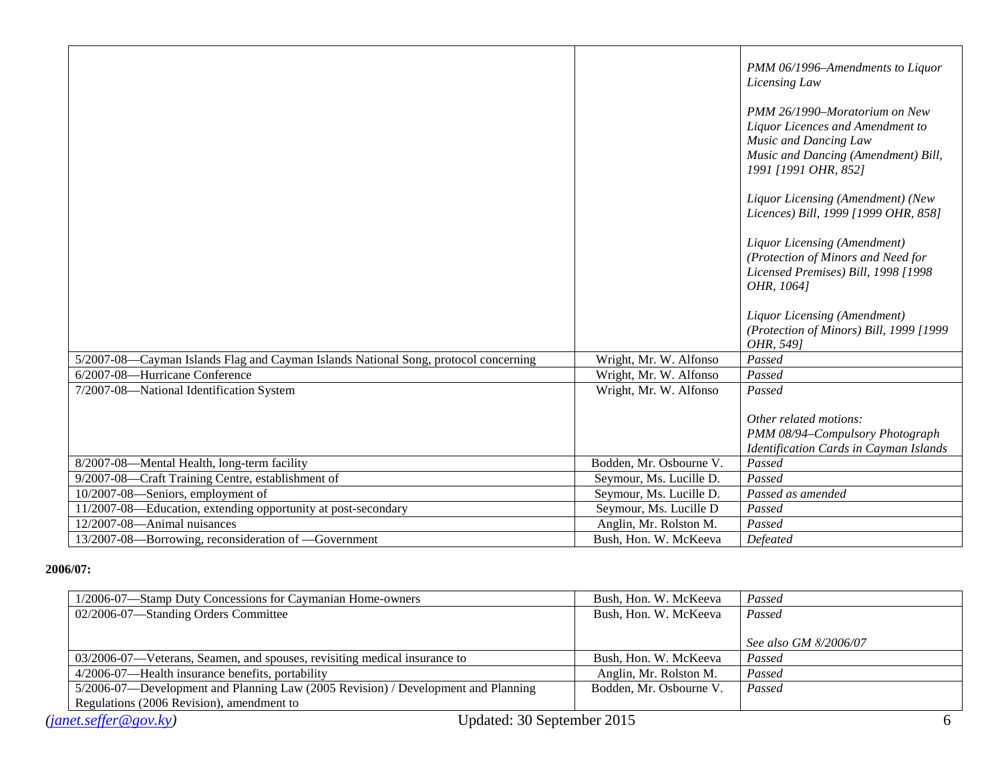|                                                                                     |                         | PMM 06/1996-Amendments to Liquor<br>Licensing Law                                                                                                         |
|-------------------------------------------------------------------------------------|-------------------------|-----------------------------------------------------------------------------------------------------------------------------------------------------------|
|                                                                                     |                         | PMM 26/1990–Moratorium on New<br>Liquor Licences and Amendment to<br>Music and Dancing Law<br>Music and Dancing (Amendment) Bill,<br>1991 [1991 OHR, 852] |
|                                                                                     |                         | Liquor Licensing (Amendment) (New<br>Licences) Bill, 1999 [1999 OHR, 858]                                                                                 |
|                                                                                     |                         | Liquor Licensing (Amendment)<br>(Protection of Minors and Need for<br>Licensed Premises) Bill, 1998 [1998<br>OHR, 1064]                                   |
|                                                                                     |                         | Liquor Licensing (Amendment)<br>(Protection of Minors) Bill, 1999 [1999<br>OHR, 5491                                                                      |
| 5/2007-08—Cayman Islands Flag and Cayman Islands National Song, protocol concerning | Wright, Mr. W. Alfonso  | Passed                                                                                                                                                    |
| 6/2007-08-Hurricane Conference                                                      | Wright, Mr. W. Alfonso  | Passed                                                                                                                                                    |
| 7/2007-08-National Identification System                                            | Wright, Mr. W. Alfonso  | Passed                                                                                                                                                    |
|                                                                                     |                         | Other related motions:<br>PMM 08/94-Compulsory Photograph<br>Identification Cards in Cayman Islands                                                       |
| 8/2007-08-Mental Health, long-term facility                                         | Bodden, Mr. Osbourne V. | Passed                                                                                                                                                    |
| 9/2007-08-Craft Training Centre, establishment of                                   | Seymour, Ms. Lucille D. | Passed                                                                                                                                                    |
| 10/2007-08-Seniors, employment of                                                   | Seymour, Ms. Lucille D. | Passed as amended                                                                                                                                         |
| 11/2007-08-Education, extending opportunity at post-secondary                       | Seymour, Ms. Lucille D  | Passed                                                                                                                                                    |
| 12/2007-08-Animal nuisances                                                         | Anglin, Mr. Rolston M.  | Passed                                                                                                                                                    |
| 13/2007-08-Borrowing, reconsideration of -Government                                | Bush, Hon. W. McKeeva   | Defeated                                                                                                                                                  |

#### **2006/07:**

| 1/2006-07—Stamp Duty Concessions for Caymanian Home-owners                        | Bush, Hon. W. McKeeva   | Passed                |
|-----------------------------------------------------------------------------------|-------------------------|-----------------------|
| 02/2006-07—Standing Orders Committee                                              | Bush, Hon. W. McKeeva   | Passed                |
|                                                                                   |                         |                       |
|                                                                                   |                         | See also GM 8/2006/07 |
| 03/2006-07—Veterans, Seamen, and spouses, revisiting medical insurance to         | Bush, Hon. W. McKeeva   | Passed                |
| 4/2006-07—Health insurance benefits, portability                                  | Anglin, Mr. Rolston M.  | Passed                |
| 5/2006-07—Development and Planning Law (2005 Revision) / Development and Planning | Bodden, Mr. Osbourne V. | Passed                |
| Regulations (2006 Revision), amendment to                                         |                         |                       |
| Updated: 30 September 2015<br>(janet. seffer@gov.ky)                              |                         |                       |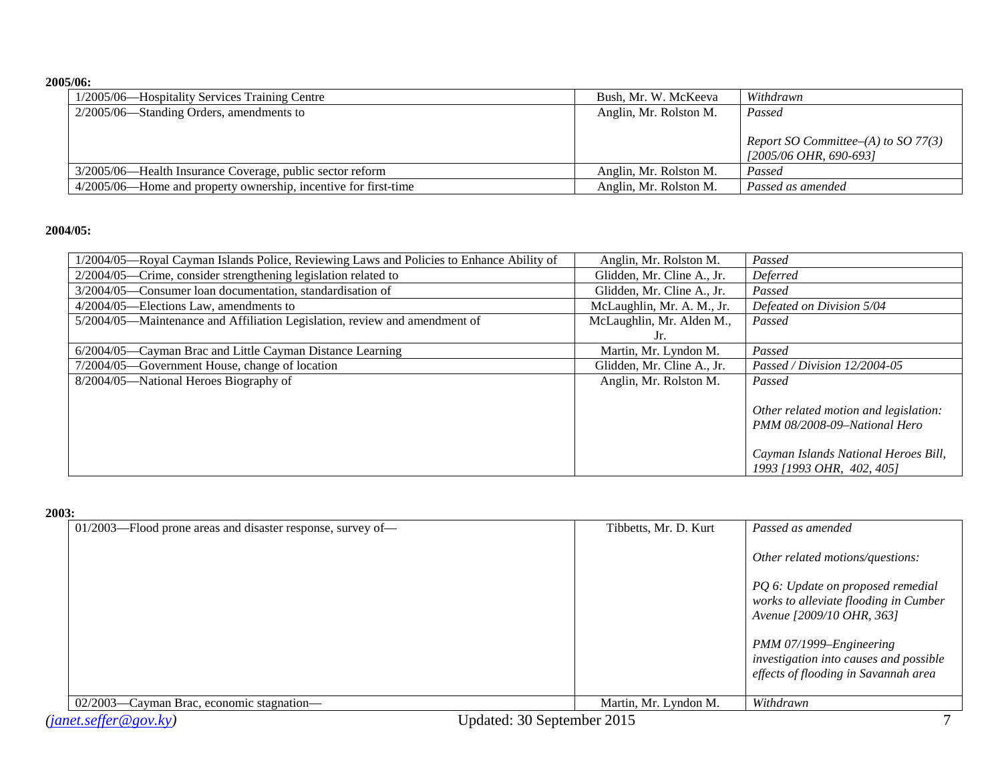#### **2005/06:**

| 1/2005/06—Hospitality Services Training Centre                  | Bush, Mr. W. McKeeva   | Withdrawn                              |
|-----------------------------------------------------------------|------------------------|----------------------------------------|
| $2/2005/06$ —Standing Orders, amendments to                     | Anglin, Mr. Rolston M. | Passed                                 |
|                                                                 |                        |                                        |
|                                                                 |                        | Report SO Committee– $(A)$ to SO 77(3) |
|                                                                 |                        | <i>[2005/06 OHR, 690-693]</i>          |
| 3/2005/06—Health Insurance Coverage, public sector reform       | Anglin, Mr. Rolston M. | Passed                                 |
| 4/2005/06—Home and property ownership, incentive for first-time | Anglin, Mr. Rolston M. | Passed as amended                      |

#### **2004/05:**

| Anglin, Mr. Rolston M.     | Passed                                                                                                                                     |
|----------------------------|--------------------------------------------------------------------------------------------------------------------------------------------|
| Glidden, Mr. Cline A., Jr. | Deferred                                                                                                                                   |
| Glidden, Mr. Cline A., Jr. | Passed                                                                                                                                     |
| McLaughlin, Mr. A. M., Jr. | Defeated on Division 5/04                                                                                                                  |
| McLaughlin, Mr. Alden M.,  | Passed                                                                                                                                     |
| Jr.                        |                                                                                                                                            |
| Martin, Mr. Lyndon M.      | Passed                                                                                                                                     |
| Glidden, Mr. Cline A., Jr. | Passed / Division $12/2004-05$                                                                                                             |
| Anglin, Mr. Rolston M.     | Passed                                                                                                                                     |
|                            | Other related motion and legislation:<br>PMM 08/2008-09-National Hero<br>Cayman Islands National Heroes Bill,<br>1993 [1993 OHR, 402, 405] |
|                            |                                                                                                                                            |

#### **2003:**

| 01/2003—Flood prone areas and disaster response, survey of— | Tibbetts, Mr. D. Kurt | Passed as amended                                                                                         |
|-------------------------------------------------------------|-----------------------|-----------------------------------------------------------------------------------------------------------|
|                                                             |                       | Other related motions/questions:                                                                          |
|                                                             |                       | PQ 6: Update on proposed remedial<br>works to alleviate flooding in Cumber<br>Avenue [2009/10 OHR, 363]   |
|                                                             |                       | PMM 07/1999–Engineering<br>investigation into causes and possible<br>effects of flooding in Savannah area |
| 02/2003—Cayman Brac, economic stagnation—                   | Martin, Mr. Lyndon M. | Withdrawn                                                                                                 |
| Updated: 30 September 2015<br>(janet. seffer@gov.ky)        |                       |                                                                                                           |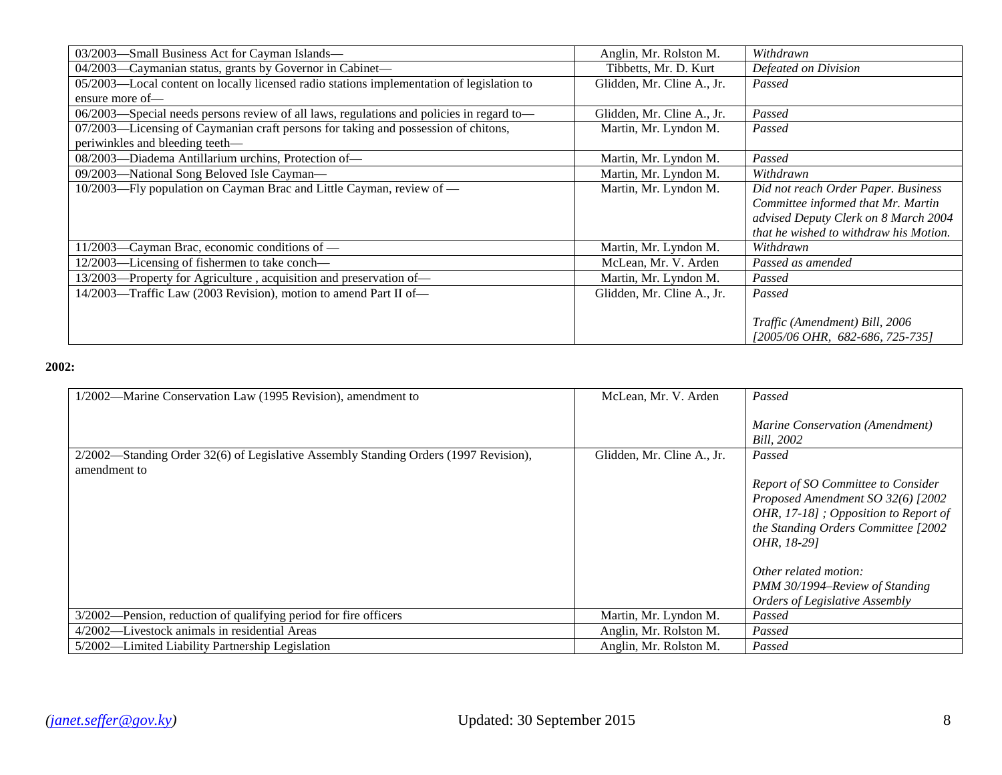| 03/2003-Small Business Act for Cayman Islands-                                            | Anglin, Mr. Rolston M.     | Withdrawn                              |
|-------------------------------------------------------------------------------------------|----------------------------|----------------------------------------|
| 04/2003—Caymanian status, grants by Governor in Cabinet—                                  | Tibbetts, Mr. D. Kurt      | Defeated on Division                   |
| 05/2003—Local content on locally licensed radio stations implementation of legislation to | Glidden, Mr. Cline A., Jr. | Passed                                 |
| ensure more of-                                                                           |                            |                                        |
| 06/2003-Special needs persons review of all laws, regulations and policies in regard to-  | Glidden, Mr. Cline A., Jr. | Passed                                 |
| 07/2003—Licensing of Caymanian craft persons for taking and possession of chitons,        | Martin, Mr. Lyndon M.      | Passed                                 |
| periwinkles and bleeding teeth-                                                           |                            |                                        |
| 08/2003—Diadema Antillarium urchins, Protection of-                                       | Martin, Mr. Lyndon M.      | Passed                                 |
| 09/2003-National Song Beloved Isle Cayman-                                                | Martin, Mr. Lyndon M.      | Withdrawn                              |
| 10/2003—Fly population on Cayman Brac and Little Cayman, review of —                      | Martin, Mr. Lyndon M.      | Did not reach Order Paper. Business    |
|                                                                                           |                            | Committee informed that Mr. Martin     |
|                                                                                           |                            | advised Deputy Clerk on 8 March 2004   |
|                                                                                           |                            | that he wished to withdraw his Motion. |
| 11/2003—Cayman Brac, economic conditions of —                                             | Martin, Mr. Lyndon M.      | Withdrawn                              |
| 12/2003—Licensing of fishermen to take conch—                                             | McLean, Mr. V. Arden       | Passed as amended                      |
| 13/2003—Property for Agriculture, acquisition and preservation of—                        | Martin, Mr. Lyndon M.      | Passed                                 |
| 14/2003—Traffic Law (2003 Revision), motion to amend Part II of—                          | Glidden, Mr. Cline A., Jr. | Passed                                 |
|                                                                                           |                            |                                        |
|                                                                                           |                            | Traffic (Amendment) Bill, 2006         |
|                                                                                           |                            | [2005/06 OHR,682-686, 725-735]         |

### **2002:**

| 1/2002—Marine Conservation Law (1995 Revision), amendment to                                         | McLean, Mr. V. Arden       | Passed<br>Marine Conservation (Amendment)<br>Bill, 2002                                                                                                                                                                                                                              |
|------------------------------------------------------------------------------------------------------|----------------------------|--------------------------------------------------------------------------------------------------------------------------------------------------------------------------------------------------------------------------------------------------------------------------------------|
| 2/2002—Standing Order 32(6) of Legislative Assembly Standing Orders (1997 Revision),<br>amendment to | Glidden, Mr. Cline A., Jr. | Passed<br>Report of SO Committee to Consider<br>Proposed Amendment SO 32(6) [2002<br>OHR, 17-18]; Opposition to Report of<br>the Standing Orders Committee [2002<br><i>OHR</i> , 18-291<br>Other related motion:<br>PMM 30/1994–Review of Standing<br>Orders of Legislative Assembly |
| -Pension, reduction of qualifying period for fire officers<br>$3/2002-$                              | Martin, Mr. Lyndon M.      | Passed                                                                                                                                                                                                                                                                               |
| 4/2002—Livestock animals in residential Areas                                                        | Anglin, Mr. Rolston M.     | Passed                                                                                                                                                                                                                                                                               |
| 5/2002—Limited Liability Partnership Legislation                                                     | Anglin, Mr. Rolston M.     | Passed                                                                                                                                                                                                                                                                               |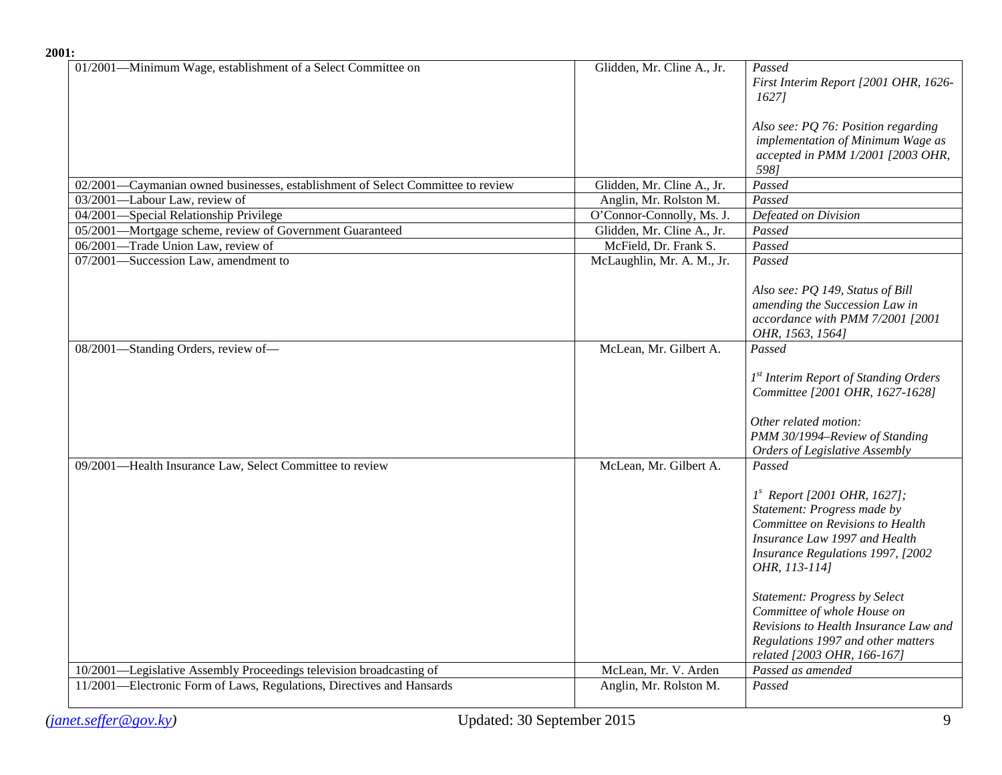| 2001:                                                                           |                            |                                                                                                                                                                                                                                                                                                                                                                                        |
|---------------------------------------------------------------------------------|----------------------------|----------------------------------------------------------------------------------------------------------------------------------------------------------------------------------------------------------------------------------------------------------------------------------------------------------------------------------------------------------------------------------------|
| 01/2001—Minimum Wage, establishment of a Select Committee on                    | Glidden, Mr. Cline A., Jr. | Passed<br>First Interim Report [2001 OHR, 1626-<br>1627]                                                                                                                                                                                                                                                                                                                               |
|                                                                                 |                            | Also see: PQ 76: Position regarding<br>implementation of Minimum Wage as<br>accepted in PMM 1/2001 [2003 OHR,<br>598]                                                                                                                                                                                                                                                                  |
| 02/2001—Caymanian owned businesses, establishment of Select Committee to review | Glidden, Mr. Cline A., Jr. | Passed                                                                                                                                                                                                                                                                                                                                                                                 |
| 03/2001-Labour Law, review of                                                   | Anglin, Mr. Rolston M.     | Passed                                                                                                                                                                                                                                                                                                                                                                                 |
| 04/2001-Special Relationship Privilege                                          | O'Connor-Connolly, Ms. J.  | Defeated on Division                                                                                                                                                                                                                                                                                                                                                                   |
| 05/2001-Mortgage scheme, review of Government Guaranteed                        | Glidden, Mr. Cline A., Jr. | Passed                                                                                                                                                                                                                                                                                                                                                                                 |
| 06/2001-Trade Union Law, review of                                              | McField, Dr. Frank S.      | Passed                                                                                                                                                                                                                                                                                                                                                                                 |
| 07/2001-Succession Law, amendment to                                            | McLaughlin, Mr. A. M., Jr. | Passed                                                                                                                                                                                                                                                                                                                                                                                 |
|                                                                                 |                            | Also see: PQ 149, Status of Bill<br>amending the Succession Law in<br>accordance with PMM 7/2001 [2001<br>OHR, 1563, 1564]                                                                                                                                                                                                                                                             |
| 08/2001-Standing Orders, review of-                                             | McLean, Mr. Gilbert A.     | Passed<br>1 <sup>st</sup> Interim Report of Standing Orders<br>Committee [2001 OHR, 1627-1628]                                                                                                                                                                                                                                                                                         |
|                                                                                 |                            | Other related motion:<br>PMM 30/1994-Review of Standing<br>Orders of Legislative Assembly                                                                                                                                                                                                                                                                                              |
| 09/2001-Health Insurance Law, Select Committee to review                        | McLean, Mr. Gilbert A.     | Passed<br>$1s$ Report [2001 OHR, 1627];<br>Statement: Progress made by<br>Committee on Revisions to Health<br>Insurance Law 1997 and Health<br>Insurance Regulations 1997, [2002<br>OHR, 113-114]<br><b>Statement: Progress by Select</b><br>Committee of whole House on<br>Revisions to Health Insurance Law and<br>Regulations 1997 and other matters<br>related [2003 OHR, 166-167] |
| 10/2001—Legislative Assembly Proceedings television broadcasting of             | McLean, Mr. V. Arden       | Passed as amended                                                                                                                                                                                                                                                                                                                                                                      |
| 11/2001—Electronic Form of Laws, Regulations, Directives and Hansards           | Anglin, Mr. Rolston M.     | Passed                                                                                                                                                                                                                                                                                                                                                                                 |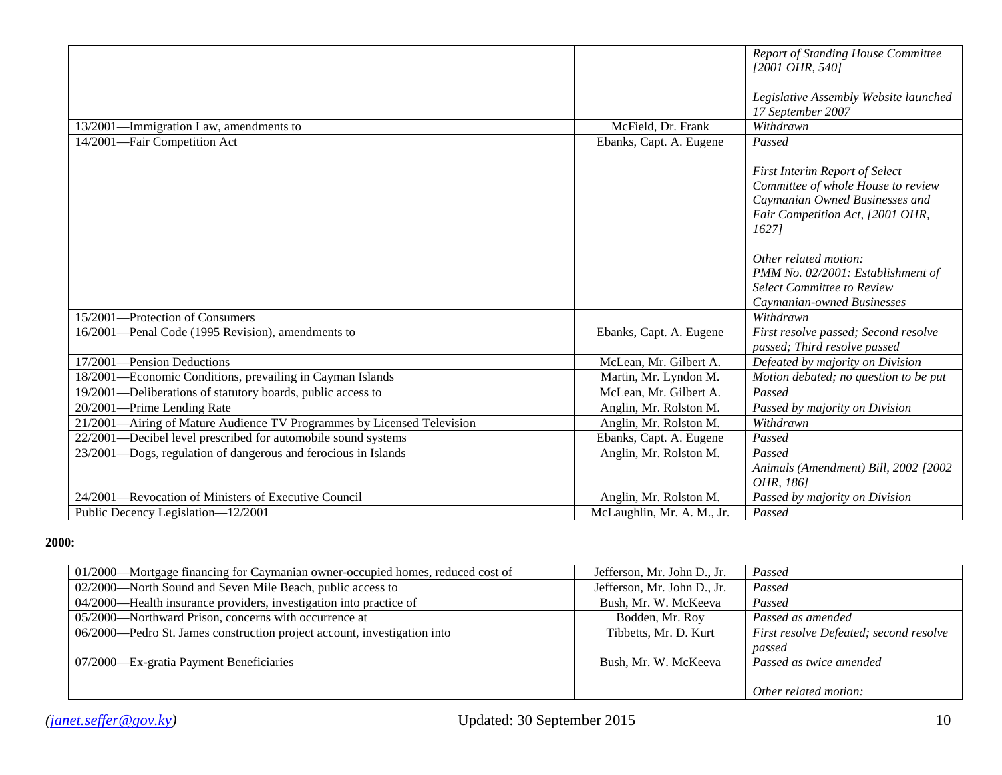|                                                                        |                            | <b>Report of Standing House Committee</b><br>[2001 OHR, 540]                                                                                              |
|------------------------------------------------------------------------|----------------------------|-----------------------------------------------------------------------------------------------------------------------------------------------------------|
|                                                                        |                            | Legislative Assembly Website launched<br>17 September 2007                                                                                                |
| 13/2001-Immigration Law, amendments to                                 | McField, Dr. Frank         | Withdrawn                                                                                                                                                 |
| 14/2001-Fair Competition Act                                           | Ebanks, Capt. A. Eugene    | Passed                                                                                                                                                    |
|                                                                        |                            | <b>First Interim Report of Select</b><br>Committee of whole House to review<br>Caymanian Owned Businesses and<br>Fair Competition Act, [2001 OHR,<br>1627 |
|                                                                        |                            | Other related motion:<br>PMM No. 02/2001: Establishment of                                                                                                |
|                                                                        |                            | <b>Select Committee to Review</b><br>Caymanian-owned Businesses                                                                                           |
| 15/2001-Protection of Consumers                                        |                            | Withdrawn                                                                                                                                                 |
| 16/2001—Penal Code (1995 Revision), amendments to                      | Ebanks, Capt. A. Eugene    | First resolve passed; Second resolve<br>passed; Third resolve passed                                                                                      |
| 17/2001-Pension Deductions                                             | McLean, Mr. Gilbert A.     | Defeated by majority on Division                                                                                                                          |
| 18/2001—Economic Conditions, prevailing in Cayman Islands              | Martin, Mr. Lyndon M.      | Motion debated; no question to be put                                                                                                                     |
| 19/2001—Deliberations of statutory boards, public access to            | McLean, Mr. Gilbert A.     | Passed                                                                                                                                                    |
| 20/2001—Prime Lending Rate                                             | Anglin, Mr. Rolston M.     | Passed by majority on Division                                                                                                                            |
| 21/2001-Airing of Mature Audience TV Programmes by Licensed Television | Anglin, Mr. Rolston M.     | Withdrawn                                                                                                                                                 |
| 22/2001—Decibel level prescribed for automobile sound systems          | Ebanks, Capt. A. Eugene    | Passed                                                                                                                                                    |
| 23/2001—Dogs, regulation of dangerous and ferocious in Islands         | Anglin, Mr. Rolston M.     | Passed                                                                                                                                                    |
|                                                                        |                            | Animals (Amendment) Bill, 2002 [2002<br>OHR, 1861                                                                                                         |
| 24/2001—Revocation of Ministers of Executive Council                   | Anglin, Mr. Rolston M.     | Passed by majority on Division                                                                                                                            |
| Public Decency Legislation-12/2001                                     | McLaughlin, Mr. A. M., Jr. | Passed                                                                                                                                                    |

#### **2000:**

| 01/2000-Mortgage financing for Caymanian owner-occupied homes, reduced cost of | Jefferson, Mr. John D., Jr. | Passed                                 |
|--------------------------------------------------------------------------------|-----------------------------|----------------------------------------|
| 02/2000—North Sound and Seven Mile Beach, public access to                     | Jefferson, Mr. John D., Jr. | Passed                                 |
| 04/2000—Health insurance providers, investigation into practice of             | Bush, Mr. W. McKeeva        | Passed                                 |
| 05/2000—Northward Prison, concerns with occurrence at                          | Bodden, Mr. Roy             | Passed as amended                      |
| 06/2000—Pedro St. James construction project account, investigation into       | Tibbetts, Mr. D. Kurt       | First resolve Defeated; second resolve |
|                                                                                |                             | passed                                 |
| 07/2000—Ex-gratia Payment Beneficiaries                                        | Bush, Mr. W. McKeeva        | Passed as twice amended                |
|                                                                                |                             |                                        |
|                                                                                |                             | Other related motion:                  |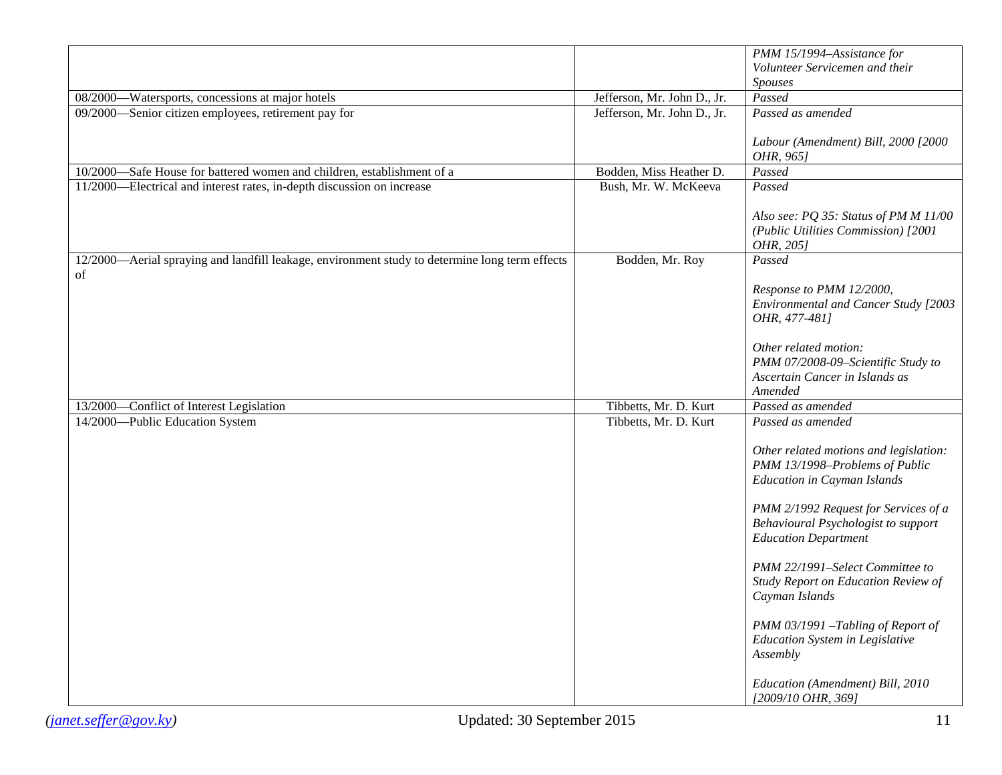|                                                                                                      |                             | PMM 15/1994-Assistance for                                                                                 |
|------------------------------------------------------------------------------------------------------|-----------------------------|------------------------------------------------------------------------------------------------------------|
|                                                                                                      |                             | Volunteer Servicemen and their                                                                             |
|                                                                                                      |                             | <b>Spouses</b>                                                                                             |
| 08/2000—Watersports, concessions at major hotels                                                     | Jefferson, Mr. John D., Jr. | Passed                                                                                                     |
| 09/2000—Senior citizen employees, retirement pay for                                                 | Jefferson, Mr. John D., Jr. | Passed as amended                                                                                          |
|                                                                                                      |                             | Labour (Amendment) Bill, 2000 [2000<br>OHR, 965]                                                           |
| 10/2000-Safe House for battered women and children, establishment of a                               | Bodden, Miss Heather D.     | Passed                                                                                                     |
| 11/2000—Electrical and interest rates, in-depth discussion on increase                               | Bush, Mr. W. McKeeva        | Passed                                                                                                     |
|                                                                                                      |                             | Also see: PQ 35: Status of PM M 11/00<br>(Public Utilities Commission) [2001<br>OHR, 205]                  |
| 12/2000—Aerial spraying and landfill leakage, environment study to determine long term effects<br>of | Bodden, Mr. Roy             | Passed                                                                                                     |
|                                                                                                      |                             | Response to PMM 12/2000,<br>Environmental and Cancer Study [2003<br>OHR, 477-481]                          |
|                                                                                                      |                             | Other related motion:<br>PMM 07/2008-09-Scientific Study to                                                |
|                                                                                                      |                             | Ascertain Cancer in Islands as                                                                             |
|                                                                                                      |                             | Amended<br>Passed as amended                                                                               |
| 13/2000—Conflict of Interest Legislation                                                             | Tibbetts, Mr. D. Kurt       |                                                                                                            |
| 14/2000-Public Education System                                                                      | Tibbetts, Mr. D. Kurt       | Passed as amended                                                                                          |
|                                                                                                      |                             | Other related motions and legislation:                                                                     |
|                                                                                                      |                             | PMM 13/1998-Problems of Public<br><b>Education in Cayman Islands</b>                                       |
|                                                                                                      |                             | PMM 2/1992 Request for Services of a<br>Behavioural Psychologist to support<br><b>Education Department</b> |
|                                                                                                      |                             | PMM 22/1991-Select Committee to<br>Study Report on Education Review of<br>Cayman Islands                   |
|                                                                                                      |                             | PMM 03/1991 -Tabling of Report of<br>Education System in Legislative<br>Assembly                           |
|                                                                                                      |                             | Education (Amendment) Bill, 2010<br>[2009/10 OHR, 369]                                                     |